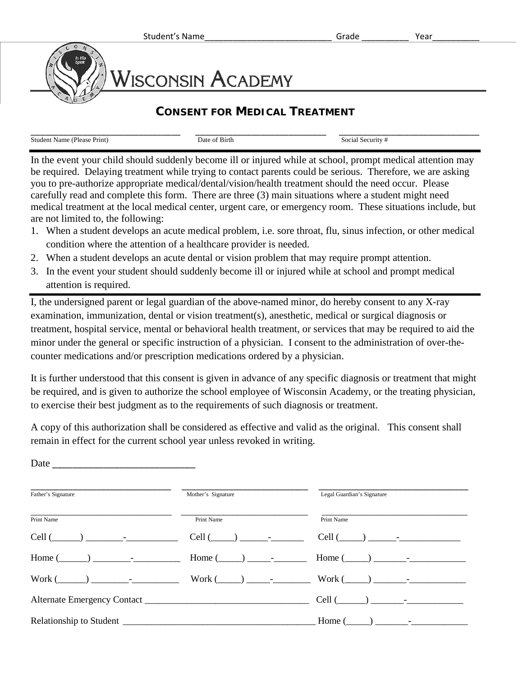## WISCONSIN ACADEMY

## **CONSENT FOR MEDICAL TREATMENT**

| ___                                    |               |                      |
|----------------------------------------|---------------|----------------------|
| <b>Student Name (Please)</b><br>Print) | Date of Birth | ' Security<br>Social |

In the event your child should suddenly become ill or injured while at school, prompt medical attention may be required. Delaying treatment while trying to contact parents could be serious. Therefore, we are asking you to pre-authorize appropriate medical/dental/vision/health treatment should the need occur. Please carefully read and complete this form. There are three (3) main situations where a student might need medical treatment at the local medical center, urgent care, or emergency room. These situations include, but are not limited to, the following:

- 1. When a student develops an acute medical problem, i.e. sore throat, flu, sinus infection, or other medical condition where the attention of a healthcare provider is needed.
- 2. When a student develops an acute dental or vision problem that may require prompt attention.
- 3. In the event your student should suddenly become ill or injured while at school and prompt medical attention is required.

I, the undersigned parent or legal guardian of the above-named minor, do hereby consent to any X-ray examination, immunization, dental or vision treatment(s), anesthetic, medical or surgical diagnosis or treatment, hospital service, mental or behavioral health treatment, or services that may be required to aid the minor under the general or specific instruction of a physician. I consent to the administration of over-thecounter medications and/or prescription medications ordered by a physician.

It is further understood that this consent is given in advance of any specific diagnosis or treatment that might be required, and is given to authorize the school employee of Wisconsin Academy, or the treating physician, to exercise their best judgment as to the requirements of such diagnosis or treatment.

A copy of this authorization shall be considered as effective and valid as the original. This consent shall remain in effect for the current school year unless revoked in writing.

Date  $\Box$ 

| Father's Signature                | Mother's Signature                | Legal Guardian's Signature                                                                                                                                                                                                                                                                              |
|-----------------------------------|-----------------------------------|---------------------------------------------------------------------------------------------------------------------------------------------------------------------------------------------------------------------------------------------------------------------------------------------------------|
| Print Name                        | Print Name                        | Print Name                                                                                                                                                                                                                                                                                              |
| $Cell$ $\qquad$ $\qquad$ $\qquad$ | $Cell$ $\qquad$ $\qquad$ $\qquad$ |                                                                                                                                                                                                                                                                                                         |
|                                   |                                   |                                                                                                                                                                                                                                                                                                         |
| $Work( )$ -                       |                                   | $Work (\_\_) \_\_ \_\_ \_\_$                                                                                                                                                                                                                                                                            |
|                                   |                                   | Cell $(\_\_)$ $\_\_$                                                                                                                                                                                                                                                                                    |
|                                   |                                   | Home (<br>) and $\frac{1}{2}$ and $\frac{1}{2}$ and $\frac{1}{2}$ and $\frac{1}{2}$ and $\frac{1}{2}$ and $\frac{1}{2}$ and $\frac{1}{2}$ and $\frac{1}{2}$ and $\frac{1}{2}$ and $\frac{1}{2}$ and $\frac{1}{2}$ and $\frac{1}{2}$ and $\frac{1}{2}$ and $\frac{1}{2}$ and $\frac{1}{2}$ and $\frac{1$ |